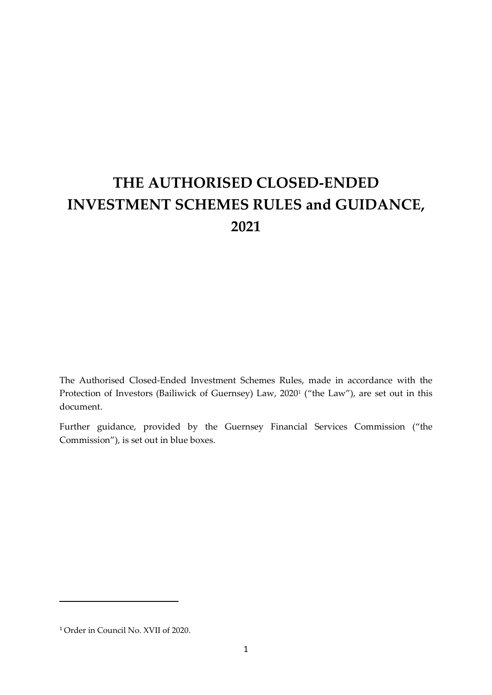# **THE AUTHORISED CLOSED-ENDED INVESTMENT SCHEMES RULES and GUIDANCE, 2021**

The Authorised Closed-Ended Investment Schemes Rules, made in accordance with the Protection of Investors (Bailiwick of Guernsey) Law, 2020<sup>1</sup> ("the Law"), are set out in this document.

Further guidance, provided by the Guernsey Financial Services Commission ("the Commission"), is set out in blue boxes.

<sup>1</sup> Order in Council No. XVII of 2020.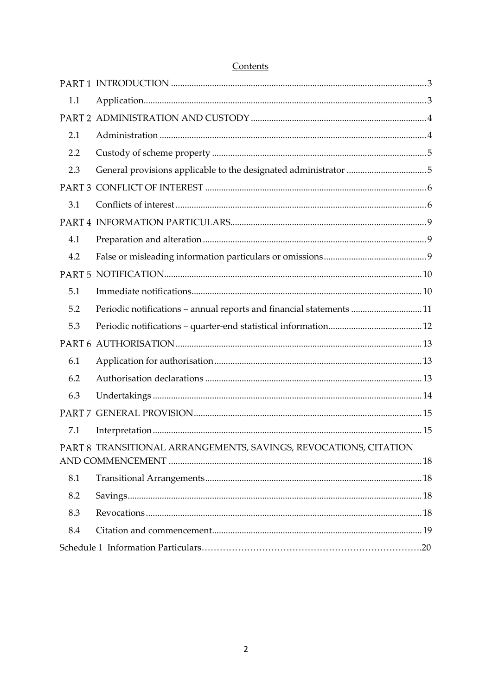| 1.1 |                                                                     |  |
|-----|---------------------------------------------------------------------|--|
|     |                                                                     |  |
| 2.1 |                                                                     |  |
| 2.2 |                                                                     |  |
| 2.3 |                                                                     |  |
|     |                                                                     |  |
| 3.1 |                                                                     |  |
|     |                                                                     |  |
| 4.1 |                                                                     |  |
| 4.2 |                                                                     |  |
|     |                                                                     |  |
| 5.1 |                                                                     |  |
| 5.2 | Periodic notifications - annual reports and financial statements 11 |  |
| 5.3 |                                                                     |  |
|     |                                                                     |  |
| 6.1 |                                                                     |  |
| 6.2 |                                                                     |  |
| 6.3 |                                                                     |  |
|     |                                                                     |  |
| 7.1 |                                                                     |  |
|     | PART 8 TRANSITIONAL ARRANGEMENTS, SAVINGS, REVOCATIONS, CITATION    |  |
|     |                                                                     |  |
| 8.1 |                                                                     |  |
| 8.2 |                                                                     |  |
| 8.3 |                                                                     |  |
| 8.4 |                                                                     |  |
|     |                                                                     |  |

## Contents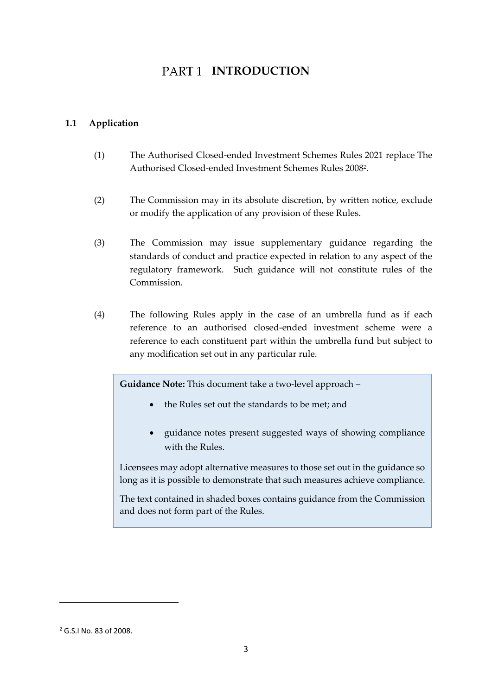## PART<sub>1</sub> INTRODUCTION

### <span id="page-2-1"></span><span id="page-2-0"></span>**1.1 Application**

- (1) The Authorised Closed-ended Investment Schemes Rules 2021 replace The Authorised Closed-ended Investment Schemes Rules 2008<sup>2</sup> .
- (2) The Commission may in its absolute discretion, by written notice, exclude or modify the application of any provision of these Rules.
- (3) The Commission may issue supplementary guidance regarding the standards of conduct and practice expected in relation to any aspect of the regulatory framework. Such guidance will not constitute rules of the Commission.
- (4) The following Rules apply in the case of an umbrella fund as if each reference to an authorised closed-ended investment scheme were a reference to each constituent part within the umbrella fund but subject to any modification set out in any particular rule.

**Guidance Note:** This document take a two-level approach –

- the Rules set out the standards to be met; and
- guidance notes present suggested ways of showing compliance with the Rules.

Licensees may adopt alternative measures to those set out in the guidance so long as it is possible to demonstrate that such measures achieve compliance.

The text contained in shaded boxes contains guidance from the Commission and does not form part of the Rules.

<sup>2</sup> G.S.I No. 83 of 2008.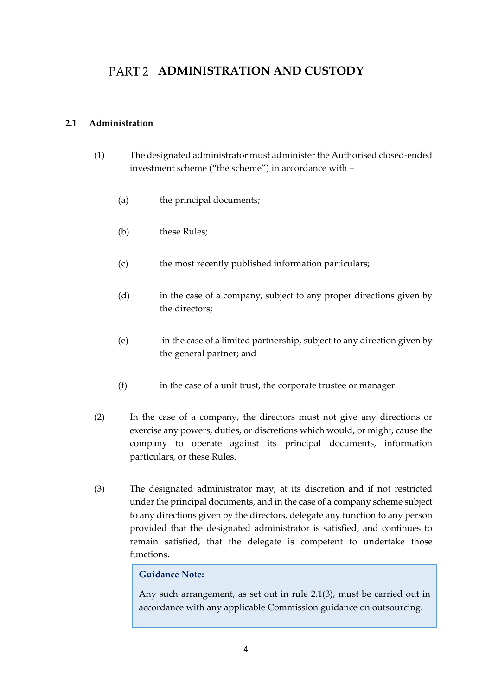## <span id="page-3-0"></span>**PART 2 ADMINISTRATION AND CUSTODY**

### <span id="page-3-1"></span>**2.1 Administration**

- (1) The designated administrator must administer the Authorised closed-ended investment scheme ("the scheme") in accordance with –
	- (a) the principal documents;
	- (b) these Rules:
	- (c) the most recently published information particulars;
	- (d) in the case of a company, subject to any proper directions given by the directors;
	- (e) in the case of a limited partnership, subject to any direction given by the general partner; and
	- (f) in the case of a unit trust, the corporate trustee or manager.
- (2) In the case of a company, the directors must not give any directions or exercise any powers, duties, or discretions which would, or might, cause the company to operate against its principal documents, information particulars, or these Rules.
- (3) The designated administrator may, at its discretion and if not restricted under the principal documents, and in the case of a company scheme subject to any directions given by the directors, delegate any function to any person provided that the designated administrator is satisfied, and continues to remain satisfied, that the delegate is competent to undertake those functions.

### **Guidance Note:**

Any such arrangement, as set out in rule 2.1(3), must be carried out in accordance with any applicable Commission guidance on outsourcing.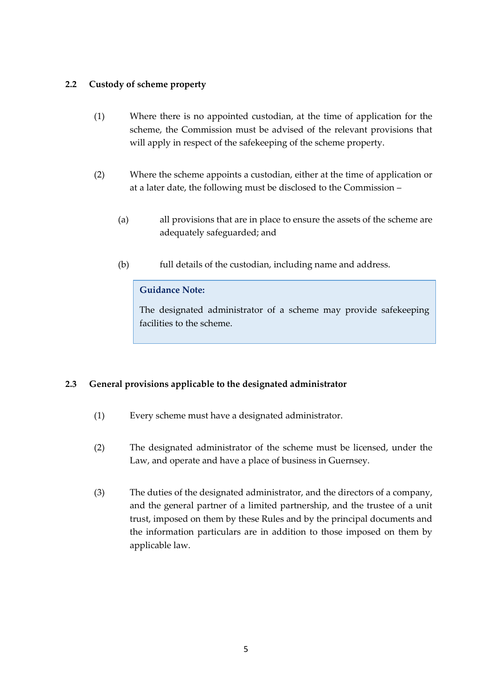### <span id="page-4-0"></span>**2.2 Custody of scheme property**

- (1) Where there is no appointed custodian, at the time of application for the scheme, the Commission must be advised of the relevant provisions that will apply in respect of the safekeeping of the scheme property.
- (2) Where the scheme appoints a custodian, either at the time of application or at a later date, the following must be disclosed to the Commission –
	- (a) all provisions that are in place to ensure the assets of the scheme are adequately safeguarded; and
	- (b) full details of the custodian, including name and address.

## **Guidance Note:**

The designated administrator of a scheme may provide safekeeping facilities to the scheme.

## <span id="page-4-1"></span>**2.3 General provisions applicable to the designated administrator**

- (1) Every scheme must have a designated administrator.
- (2) The designated administrator of the scheme must be licensed, under the Law, and operate and have a place of business in Guernsey.
- (3) The duties of the designated administrator, and the directors of a company, and the general partner of a limited partnership, and the trustee of a unit trust, imposed on them by these Rules and by the principal documents and the information particulars are in addition to those imposed on them by applicable law.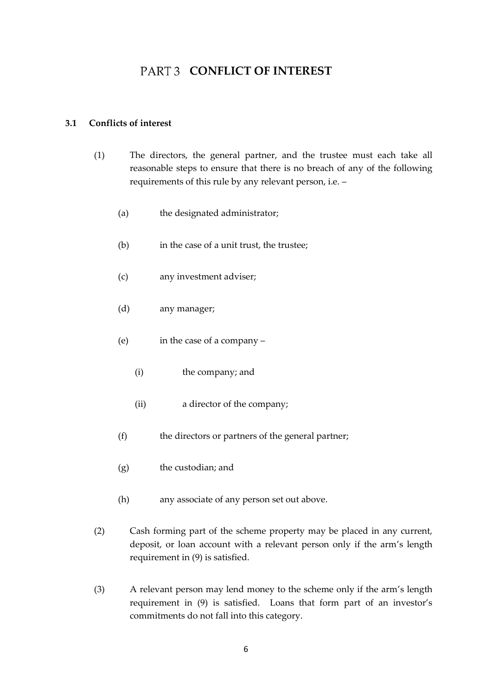## PART 3 CONFLICT OF INTEREST

#### <span id="page-5-1"></span><span id="page-5-0"></span>**3.1 Conflicts of interest**

- (1) The directors, the general partner, and the trustee must each take all reasonable steps to ensure that there is no breach of any of the following requirements of this rule by any relevant person, i.e. –
	- (a) the designated administrator;
	- (b) in the case of a unit trust, the trustee;
	- (c) any investment adviser;
	- (d) any manager;
	- (e) in the case of a company
		- (i) the company; and
		- (ii) a director of the company;
	- (f) the directors or partners of the general partner;
	- (g) the custodian; and
	- (h) any associate of any person set out above.
- (2) Cash forming part of the scheme property may be placed in any current, deposit, or loan account with a relevant person only if the arm's length requirement in (9) is satisfied.
- (3) A relevant person may lend money to the scheme only if the arm's length requirement in (9) is satisfied. Loans that form part of an investor's commitments do not fall into this category.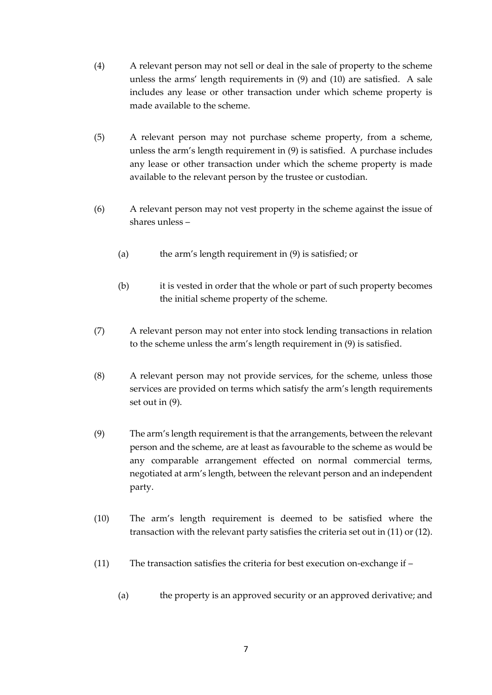- (4) A relevant person may not sell or deal in the sale of property to the scheme unless the arms' length requirements in (9) and (10) are satisfied. A sale includes any lease or other transaction under which scheme property is made available to the scheme.
- (5) A relevant person may not purchase scheme property, from a scheme, unless the arm's length requirement in (9) is satisfied. A purchase includes any lease or other transaction under which the scheme property is made available to the relevant person by the trustee or custodian.
- (6) A relevant person may not vest property in the scheme against the issue of shares unless –
	- (a) the arm's length requirement in (9) is satisfied; or
	- (b) it is vested in order that the whole or part of such property becomes the initial scheme property of the scheme.
- (7) A relevant person may not enter into stock lending transactions in relation to the scheme unless the arm's length requirement in (9) is satisfied.
- (8) A relevant person may not provide services, for the scheme, unless those services are provided on terms which satisfy the arm's length requirements set out in (9).
- (9) The arm's length requirement is that the arrangements, between the relevant person and the scheme, are at least as favourable to the scheme as would be any comparable arrangement effected on normal commercial terms, negotiated at arm's length, between the relevant person and an independent party.
- (10) The arm's length requirement is deemed to be satisfied where the transaction with the relevant party satisfies the criteria set out in (11) or (12).
- (11) The transaction satisfies the criteria for best execution on-exchange if
	- (a) the property is an approved security or an approved derivative; and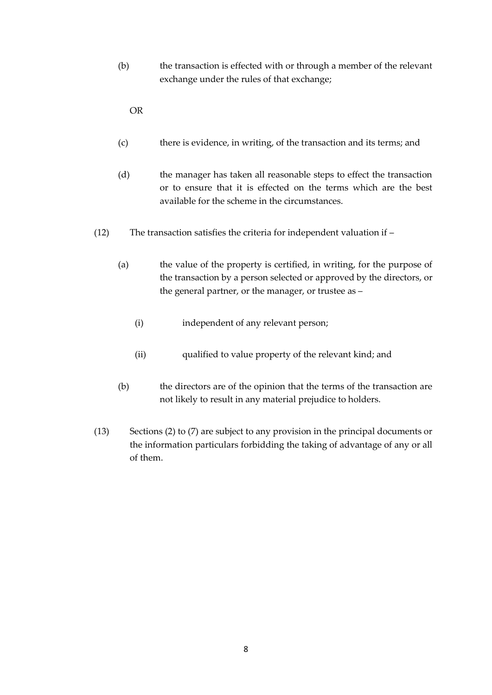(b) the transaction is effected with or through a member of the relevant exchange under the rules of that exchange;

OR

- (c) there is evidence, in writing, of the transaction and its terms; and
- (d) the manager has taken all reasonable steps to effect the transaction or to ensure that it is effected on the terms which are the best available for the scheme in the circumstances.
- (12) The transaction satisfies the criteria for independent valuation if
	- (a) the value of the property is certified, in writing, for the purpose of the transaction by a person selected or approved by the directors, or the general partner, or the manager, or trustee as –
		- (i) independent of any relevant person;
		- (ii) qualified to value property of the relevant kind; and
	- (b) the directors are of the opinion that the terms of the transaction are not likely to result in any material prejudice to holders.
- (13) Sections (2) to (7) are subject to any provision in the principal documents or the information particulars forbidding the taking of advantage of any or all of them.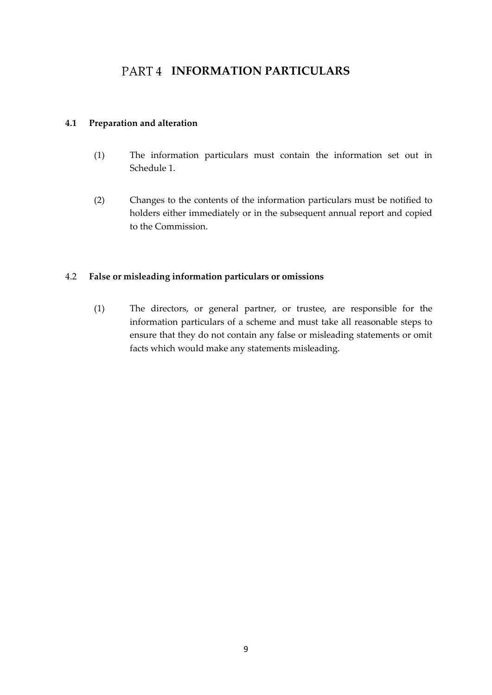## PART4 **INFORMATION PARTICULARS**

### <span id="page-8-1"></span><span id="page-8-0"></span>**4.1 Preparation and alteration**

- (1) The information particulars must contain the information set out in Schedule 1.
- (2) Changes to the contents of the information particulars must be notified to holders either immediately or in the subsequent annual report and copied to the Commission.

### <span id="page-8-2"></span>4.2 **False or misleading information particulars or omissions**

(1) The directors, or general partner, or trustee, are responsible for the information particulars of a scheme and must take all reasonable steps to ensure that they do not contain any false or misleading statements or omit facts which would make any statements misleading.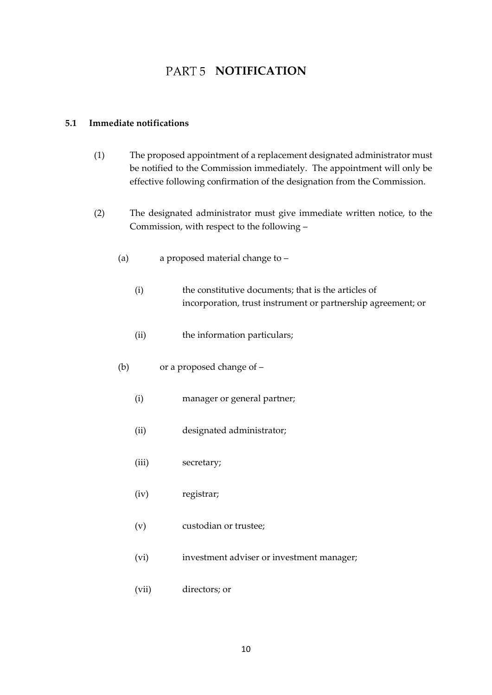## **PART 5 NOTIFICATION**

#### <span id="page-9-1"></span><span id="page-9-0"></span>**5.1 Immediate notifications**

- (1) The proposed appointment of a replacement designated administrator must be notified to the Commission immediately. The appointment will only be effective following confirmation of the designation from the Commission.
- (2) The designated administrator must give immediate written notice, to the Commission, with respect to the following –
	- (a) a proposed material change to
		- (i) the constitutive documents; that is the articles of incorporation, trust instrument or partnership agreement; or
		- (ii) the information particulars;
	- (b) or a proposed change of
		- (i) manager or general partner;
		- (ii) designated administrator;
		- (iii) secretary;
		- (iv) registrar;
		- (v) custodian or trustee;
		- (vi) investment adviser or investment manager;
		- (vii) directors; or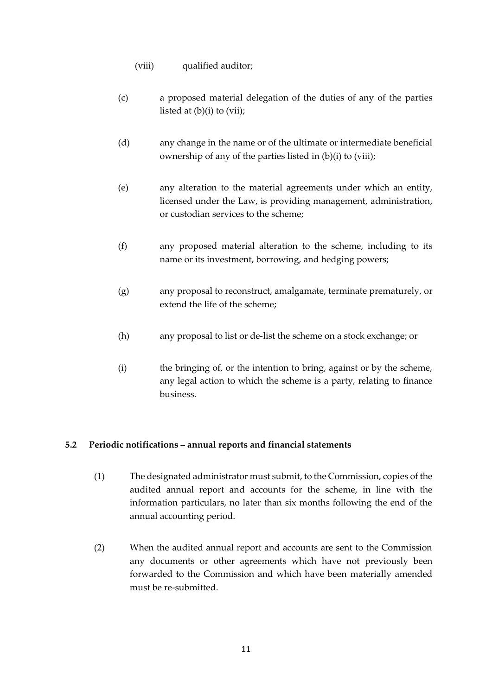- (viii) qualified auditor;
- (c) a proposed material delegation of the duties of any of the parties listed at  $(b)(i)$  to  $(vii)$ ;
- (d) any change in the name or of the ultimate or intermediate beneficial ownership of any of the parties listed in (b)(i) to (viii);
- (e) any alteration to the material agreements under which an entity, licensed under the Law, is providing management, administration, or custodian services to the scheme;
- (f) any proposed material alteration to the scheme, including to its name or its investment, borrowing, and hedging powers;
- (g) any proposal to reconstruct, amalgamate, terminate prematurely, or extend the life of the scheme;
- (h) any proposal to list or de-list the scheme on a stock exchange; or
- (i) the bringing of, or the intention to bring, against or by the scheme, any legal action to which the scheme is a party, relating to finance business.

## <span id="page-10-0"></span>**5.2 Periodic notifications – annual reports and financial statements**

- (1) The designated administrator must submit, to the Commission, copies of the audited annual report and accounts for the scheme, in line with the information particulars, no later than six months following the end of the annual accounting period.
- (2) When the audited annual report and accounts are sent to the Commission any documents or other agreements which have not previously been forwarded to the Commission and which have been materially amended must be re-submitted.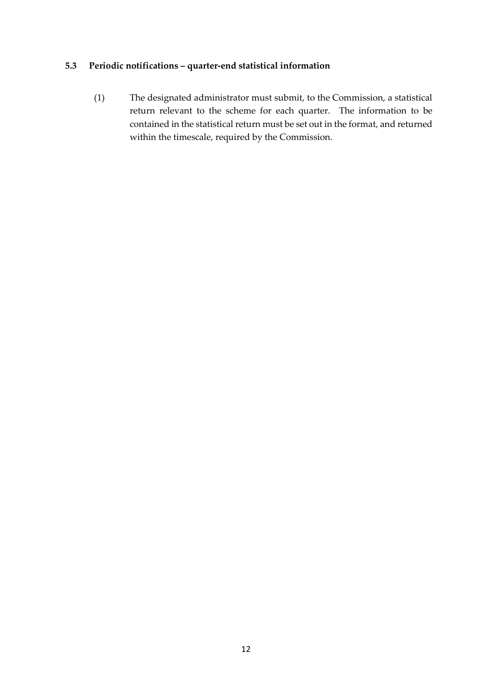## <span id="page-11-0"></span>**5.3 Periodic notifications – quarter-end statistical information**

(1) The designated administrator must submit, to the Commission, a statistical return relevant to the scheme for each quarter. The information to be contained in the statistical return must be set out in the format, and returned within the timescale, required by the Commission.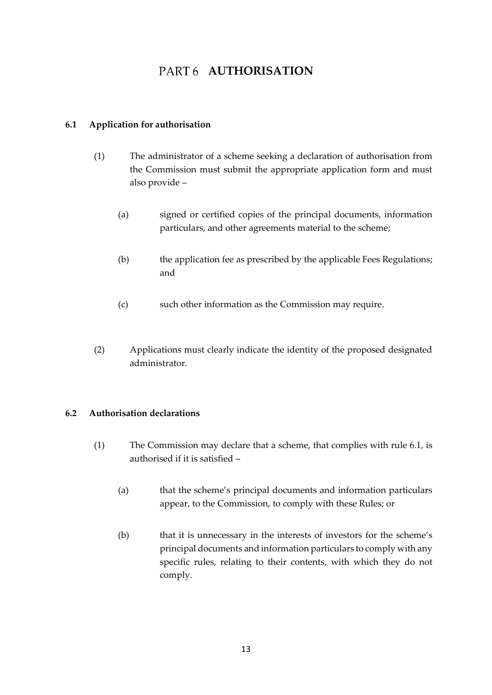## **PART 6 AUTHORISATION**

### <span id="page-12-1"></span><span id="page-12-0"></span>**6.1 Application for authorisation**

- (1) The administrator of a scheme seeking a declaration of authorisation from the Commission must submit the appropriate application form and must also provide –
	- (a) signed or certified copies of the principal documents, information particulars, and other agreements material to the scheme;
	- (b) the application fee as prescribed by the applicable Fees Regulations; and
	- (c) such other information as the Commission may require.
- (2) Applications must clearly indicate the identity of the proposed designated administrator.

## <span id="page-12-2"></span>**6.2 Authorisation declarations**

- (1) The Commission may declare that a scheme, that complies with rule 6.1, is authorised if it is satisfied –
	- (a) that the scheme's principal documents and information particulars appear, to the Commission, to comply with these Rules; or
	- (b) that it is unnecessary in the interests of investors for the scheme's principal documents and information particulars to comply with any specific rules, relating to their contents, with which they do not comply.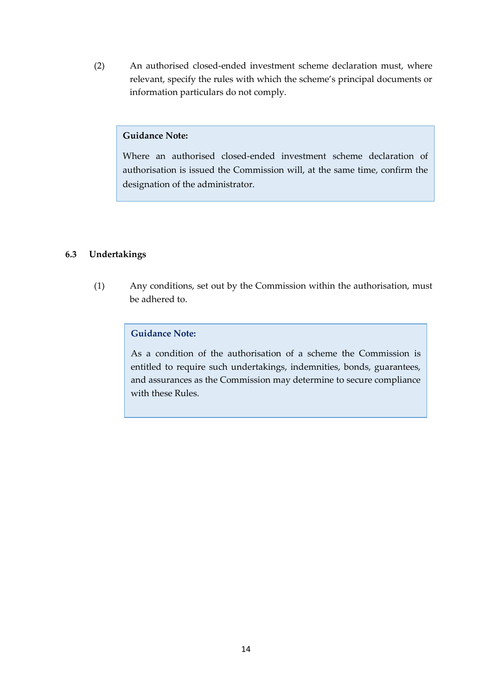(2) An authorised closed-ended investment scheme declaration must, where relevant, specify the rules with which the scheme's principal documents or information particulars do not comply.

### **Guidance Note:**

Where an authorised closed-ended investment scheme declaration of authorisation is issued the Commission will, at the same time, confirm the designation of the administrator.

### <span id="page-13-0"></span>**6.3 Undertakings**

(1) Any conditions, set out by the Commission within the authorisation, must be adhered to.

### **Guidance Note:**

As a condition of the authorisation of a scheme the Commission is entitled to require such undertakings, indemnities, bonds, guarantees, and assurances as the Commission may determine to secure compliance with these Rules.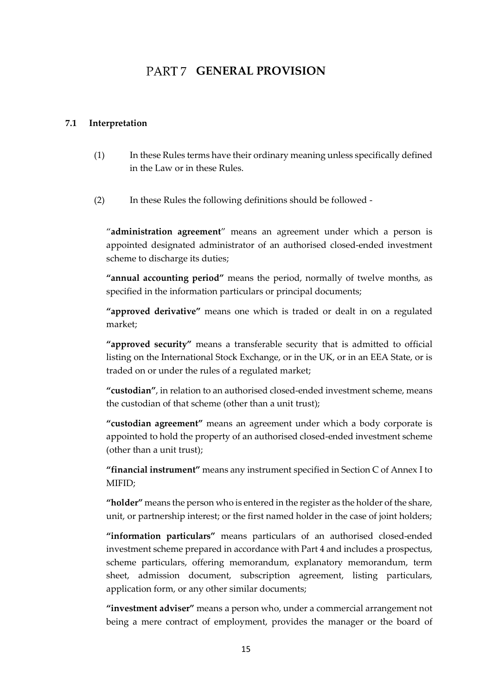## PART 7 **GENERAL PROVISION**

#### <span id="page-14-1"></span><span id="page-14-0"></span>**7.1 Interpretation**

- (1) In these Rules terms have their ordinary meaning unless specifically defined in the Law or in these Rules.
- (2) In these Rules the following definitions should be followed -

"**administration agreement**" means an agreement under which a person is appointed designated administrator of an authorised closed-ended investment scheme to discharge its duties;

**"annual accounting period"** means the period, normally of twelve months, as specified in the information particulars or principal documents;

**"approved derivative"** means one which is traded or dealt in on a regulated market;

**"approved security"** means a transferable security that is admitted to official listing on the International Stock Exchange, or in the UK, or in an EEA State, or is traded on or under the rules of a regulated market;

**"custodian"**, in relation to an authorised closed-ended investment scheme, means the custodian of that scheme (other than a unit trust);

**"custodian agreement"** means an agreement under which a body corporate is appointed to hold the property of an authorised closed-ended investment scheme (other than a unit trust);

**"financial instrument"** means any instrument specified in Section C of Annex I to MIFID;

**"holder"** means the person who is entered in the register as the holder of the share, unit, or partnership interest; or the first named holder in the case of joint holders;

**"information particulars"** means particulars of an authorised closed-ended investment scheme prepared in accordance with Part 4 and includes a prospectus, scheme particulars, offering memorandum, explanatory memorandum, term sheet, admission document, subscription agreement, listing particulars, application form, or any other similar documents;

**"investment adviser"** means a person who, under a commercial arrangement not being a mere contract of employment, provides the manager or the board of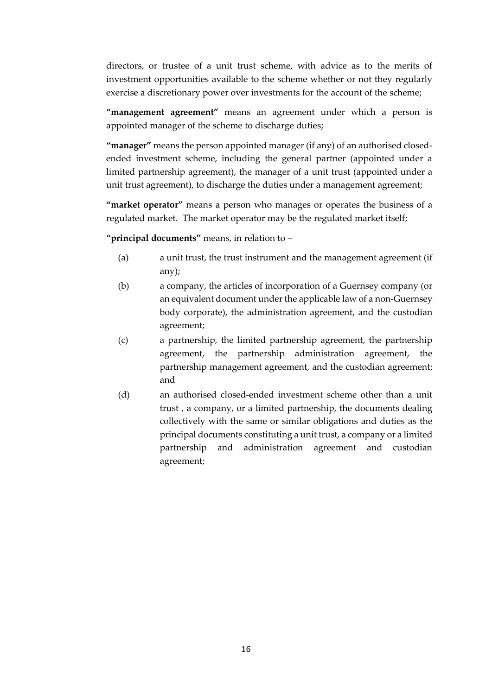directors, or trustee of a unit trust scheme, with advice as to the merits of investment opportunities available to the scheme whether or not they regularly exercise a discretionary power over investments for the account of the scheme;

**"management agreement"** means an agreement under which a person is appointed manager of the scheme to discharge duties;

**"manager"** means the person appointed manager (if any) of an authorised closedended investment scheme, including the general partner (appointed under a limited partnership agreement), the manager of a unit trust (appointed under a unit trust agreement), to discharge the duties under a management agreement;

**"market operator"** means a person who manages or operates the business of a regulated market. The market operator may be the regulated market itself;

**"principal documents"** means, in relation to –

- (a) a unit trust, the trust instrument and the management agreement (if any);
- (b) a company, the articles of incorporation of a Guernsey company (or an equivalent document under the applicable law of a non-Guernsey body corporate), the administration agreement, and the custodian agreement;
- (c) a partnership, the limited partnership agreement, the partnership agreement, the partnership administration agreement, the partnership management agreement, and the custodian agreement; and
- (d) an authorised closed-ended investment scheme other than a unit trust , a company, or a limited partnership, the documents dealing collectively with the same or similar obligations and duties as the principal documents constituting a unit trust, a company or a limited partnership and administration agreement and custodian agreement;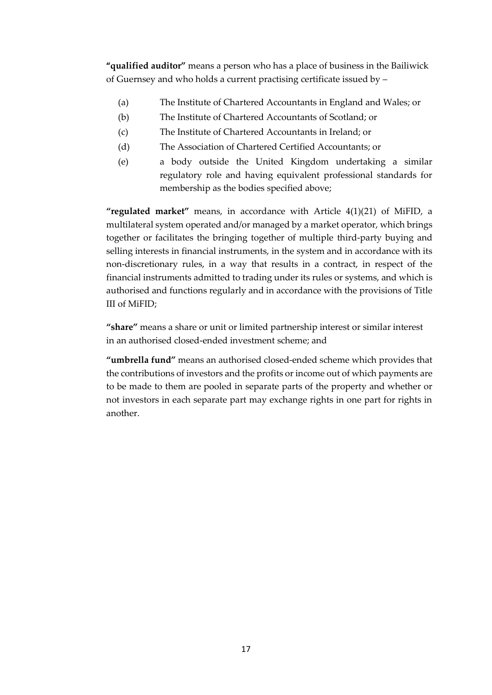**"qualified auditor"** means a person who has a place of business in the Bailiwick of Guernsey and who holds a current practising certificate issued by –

- (a) The Institute of Chartered Accountants in England and Wales; or
- (b) The Institute of Chartered Accountants of Scotland; or
- (c) The Institute of Chartered Accountants in Ireland; or
- (d) The Association of Chartered Certified Accountants; or
- (e) a body outside the United Kingdom undertaking a similar regulatory role and having equivalent professional standards for membership as the bodies specified above;

**"regulated market"** means, in accordance with Article 4(1)(21) of MiFID, a multilateral system operated and/or managed by a market operator, which brings together or facilitates the bringing together of multiple third-party buying and selling interests in financial instruments, in the system and in accordance with its non-discretionary rules, in a way that results in a contract, in respect of the financial instruments admitted to trading under its rules or systems, and which is authorised and functions regularly and in accordance with the provisions of Title III of MiFID;

**"share"** means a share or unit or limited partnership interest or similar interest in an authorised closed-ended investment scheme; and

**"umbrella fund"** means an authorised closed-ended scheme which provides that the contributions of investors and the profits or income out of which payments are to be made to them are pooled in separate parts of the property and whether or not investors in each separate part may exchange rights in one part for rights in another.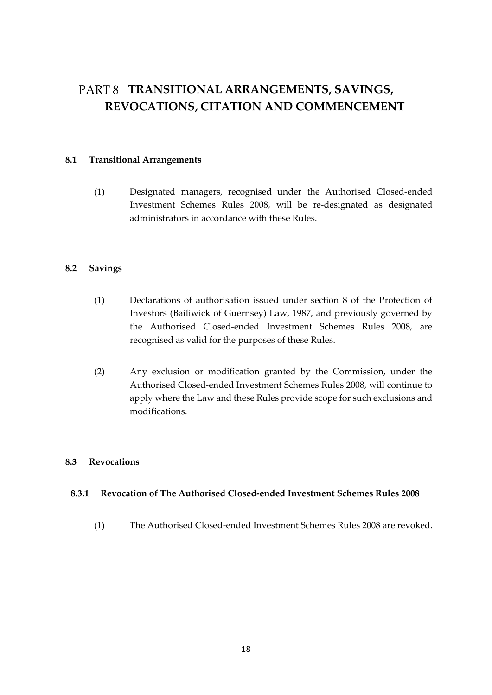## <span id="page-17-0"></span>**TRANSITIONAL ARRANGEMENTS, SAVINGS, REVOCATIONS, CITATION AND COMMENCEMENT**

#### <span id="page-17-1"></span>**8.1 Transitional Arrangements**

(1) Designated managers, recognised under the Authorised Closed-ended Investment Schemes Rules 2008, will be re-designated as designated administrators in accordance with these Rules.

### <span id="page-17-2"></span>**8.2 Savings**

- (1) Declarations of authorisation issued under section 8 of the Protection of Investors (Bailiwick of Guernsey) Law, 1987, and previously governed by the Authorised Closed-ended Investment Schemes Rules 2008, are recognised as valid for the purposes of these Rules.
- (2) Any exclusion or modification granted by the Commission, under the Authorised Closed-ended Investment Schemes Rules 2008, will continue to apply where the Law and these Rules provide scope for such exclusions and modifications.

### <span id="page-17-3"></span>**8.3 Revocations**

### **8.3.1 Revocation of The Authorised Closed-ended Investment Schemes Rules 2008**

(1) The Authorised Closed-ended Investment Schemes Rules 2008 are revoked.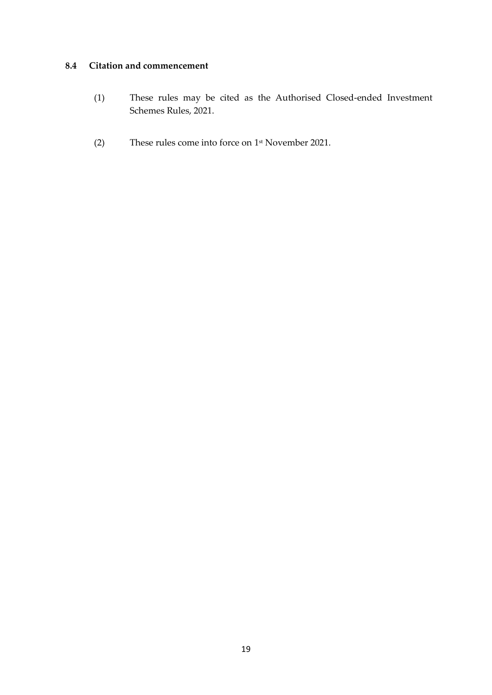## <span id="page-18-0"></span>**8.4 Citation and commencement**

- (1) These rules may be cited as the Authorised Closed-ended Investment Schemes Rules, 2021.
- (2) These rules come into force on 1 st November 2021.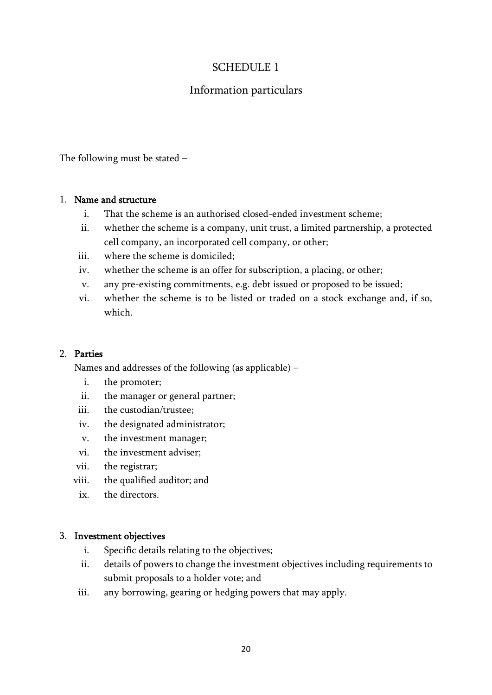## SCHEDULE 1

## Information particulars

The following must be stated –

### 1. Name and structure

- i. That the scheme is an authorised closed-ended investment scheme;
- ii. whether the scheme is a company, unit trust, a limited partnership, a protected cell company, an incorporated cell company, or other;
- iii. where the scheme is domiciled;
- iv. whether the scheme is an offer for subscription, a placing, or other;
- v. any pre-existing commitments, e.g. debt issued or proposed to be issued;
- vi. whether the scheme is to be listed or traded on a stock exchange and, if so, which.

### 2. Parties

Names and addresses of the following (as applicable) –

- i. the promoter;
- ii. the manager or general partner;
- iii. the custodian/trustee;
- iv. the designated administrator;
- v. the investment manager;
- vi. the investment adviser;
- vii. the registrar;
- viii. the qualified auditor; and
	- ix. the directors.

### 3. Investment objectives

- i. Specific details relating to the objectives;
- ii. details of powers to change the investment objectives including requirements to submit proposals to a holder vote; and
- iii. any borrowing, gearing or hedging powers that may apply.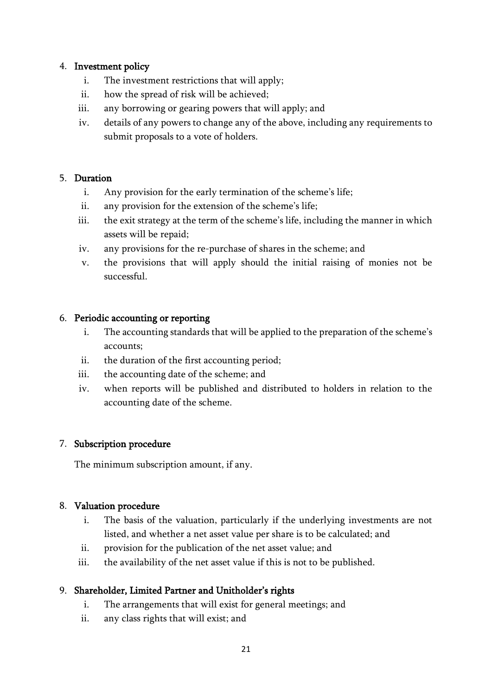## 4. Investment policy

- i. The investment restrictions that will apply;
- ii. how the spread of risk will be achieved;
- iii. any borrowing or gearing powers that will apply; and
- iv. details of any powers to change any of the above, including any requirements to submit proposals to a vote of holders.

## 5. Duration

- i. Any provision for the early termination of the scheme's life;
- ii. any provision for the extension of the scheme's life;
- iii. the exit strategy at the term of the scheme's life, including the manner in which assets will be repaid;
- iv. any provisions for the re-purchase of shares in the scheme; and
- v. the provisions that will apply should the initial raising of monies not be successful.

## 6. Periodic accounting or reporting

- i. The accounting standards that will be applied to the preparation of the scheme's accounts;
- ii. the duration of the first accounting period;
- iii. the accounting date of the scheme; and
- iv. when reports will be published and distributed to holders in relation to the accounting date of the scheme.

## 7. Subscription procedure

The minimum subscription amount, if any.

## 8. Valuation procedure

- i. The basis of the valuation, particularly if the underlying investments are not listed, and whether a net asset value per share is to be calculated; and
- ii. provision for the publication of the net asset value; and
- iii. the availability of the net asset value if this is not to be published.

## 9. Shareholder, Limited Partner and Unitholder's rights

- i. The arrangements that will exist for general meetings; and
- ii. any class rights that will exist; and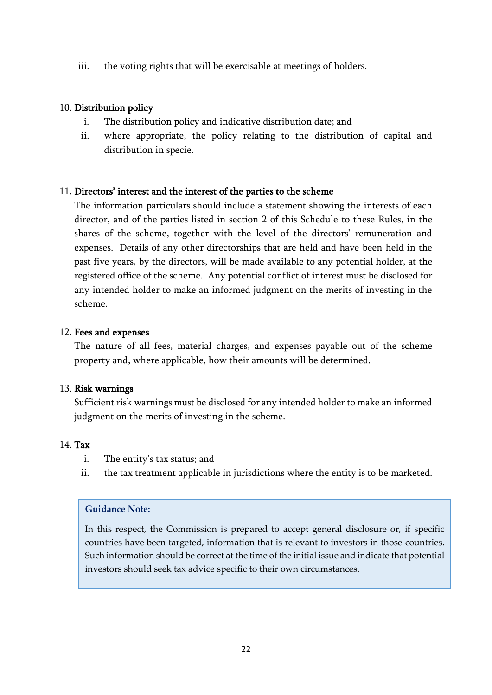iii. the voting rights that will be exercisable at meetings of holders.

## 10. Distribution policy

- i. The distribution policy and indicative distribution date; and
- ii. where appropriate, the policy relating to the distribution of capital and distribution in specie.

## 11. Directors' interest and the interest of the parties to the scheme

The information particulars should include a statement showing the interests of each director, and of the parties listed in section 2 of this Schedule to these Rules, in the shares of the scheme, together with the level of the directors' remuneration and expenses. Details of any other directorships that are held and have been held in the past five years, by the directors, will be made available to any potential holder, at the registered office of the scheme. Any potential conflict of interest must be disclosed for any intended holder to make an informed judgment on the merits of investing in the scheme.

## 12. Fees and expenses

The nature of all fees, material charges, and expenses payable out of the scheme property and, where applicable, how their amounts will be determined.

## 13. Risk warnings

Sufficient risk warnings must be disclosed for any intended holder to make an informed judgment on the merits of investing in the scheme.

## 14. Tax

- i. The entity's tax status; and
- ii. the tax treatment applicable in jurisdictions where the entity is to be marketed.

### **Guidance Note:**

In this respect, the Commission is prepared to accept general disclosure or, if specific countries have been targeted, information that is relevant to investors in those countries. Such information should be correct at the time of the initial issue and indicate that potential investors should seek tax advice specific to their own circumstances.